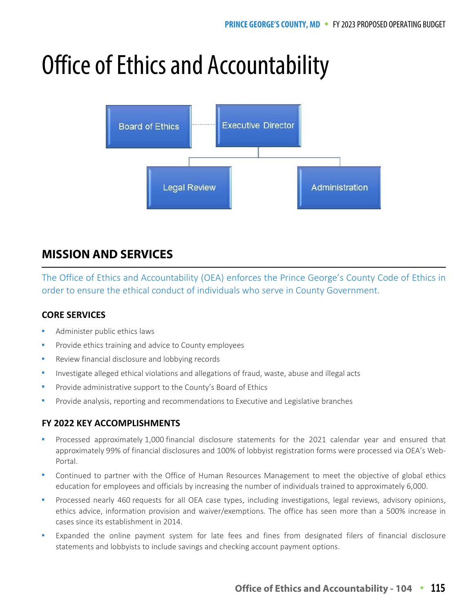# Office of Ethics and Accountability



## **MISSION AND SERVICES**

The Office of Ethics and Accountability (OEA) enforces the Prince George's County Code of Ethics in order to ensure the ethical conduct of individuals who serve in County Government.

## **CORE SERVICES**

- Administer public ethics laws
- Provide ethics training and advice to County employees
- Review financial disclosure and lobbying records
- Investigate alleged ethical violations and allegations of fraud, waste, abuse and illegal acts
- Provide administrative support to the County's Board of Ethics
- Provide analysis, reporting and recommendations to Executive and Legislative branches

## **FY 2022 KEY ACCOMPLISHMENTS**

- Processed approximately 1,000 financial disclosure statements for the 2021 calendar year and ensured that approximately 99% of financial disclosures and 100% of lobbyist registration forms were processed via OEA's Web-Portal.
- Continued to partner with the Office of Human Resources Management to meet the objective of global ethics education for employees and officials by increasing the number of individuals trained to approximately 6,000.
- Processed nearly 460 requests for all OEA case types, including investigations, legal reviews, advisory opinions, ethics advice, information provision and waiver/exemptions. The office has seen more than a 500% increase in cases since its establishment in 2014.
- Expanded the online payment system for late fees and fines from designated filers of financial disclosure statements and lobbyists to include savings and checking account payment options.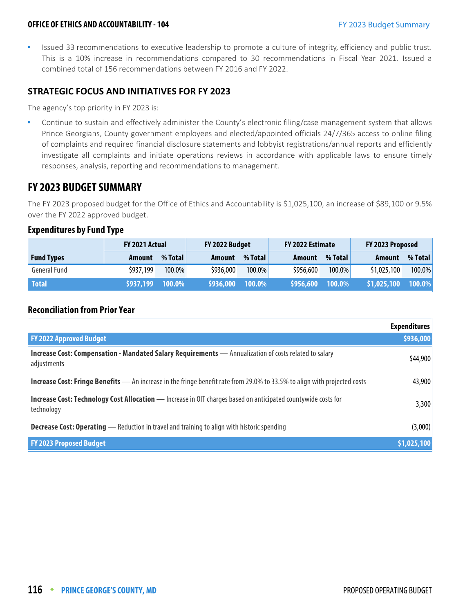Issued 33 recommendations to executive leadership to promote a culture of integrity, efficiency and public trust. This is a 10% increase in recommendations compared to 30 recommendations in Fiscal Year 2021. Issued a combined total of 156 recommendations between FY 2016 and FY 2022.

## **STRATEGIC FOCUS AND INITIATIVES FOR FY 2023**

The agency's top priority in FY 2023 is:

 Continue to sustain and effectively administer the County's electronic filing/case management system that allows Prince Georgians, County government employees and elected/appointed officials 24/7/365 access to online filing of complaints and required financial disclosure statements and lobbyist registrations/annual reports and efficiently investigate all complaints and initiate operations reviews in accordance with applicable laws to ensure timely responses, analysis, reporting and recommendations to management.

## **FY 2023 BUDGET SUMMARY**

The FY 2023 proposed budget for the Office of Ethics and Accountability is \$1,025,100, an increase of \$89,100 or 9.5% over the FY 2022 approved budget.

#### **Expenditures by Fund Type**

|                     | FY 2022 Budget<br>FY 2021 Actual |           |           | FY 2022 Estimate |           | FY 2023 Proposed |               |         |
|---------------------|----------------------------------|-----------|-----------|------------------|-----------|------------------|---------------|---------|
| <b>Fund Types</b>   | Amount                           | % Total   | Amount    | % Total          | Amount    | % Total          | <b>Amount</b> | % Total |
| <b>General Fund</b> | \$937,199                        | $100.0\%$ | \$936,000 | 100.0%           | \$956,600 | $100.0\%$        | \$1,025,100   | 100.0%  |
| <b>Total</b>        | <b>S937,199  100.0</b> %」        |           | \$936,000 | 100.0%           | \$956,600 | 100.0%           | \$1,025,100   | 100.0%  |

## **Reconciliation from Prior Year**

|                                                                                                                                  | <b>Expenditures</b> |
|----------------------------------------------------------------------------------------------------------------------------------|---------------------|
| <b>FY 2022 Approved Budget</b>                                                                                                   | \$936,000           |
| Increase Cost: Compensation - Mandated Salary Requirements - Annualization of costs related to salary<br>adjustments             | \$44,900            |
| <b>Increase Cost: Fringe Benefits</b> — An increase in the fringe benefit rate from 29.0% to 33.5% to align with projected costs | 43,900              |
| Increase Cost: Technology Cost Allocation - Increase in OIT charges based on anticipated countywide costs for<br>technology      | 3,300               |
| <b>Decrease Cost: Operating</b> — Reduction in travel and training to align with historic spending                               | (3,000)             |
| <b>FY 2023 Proposed Budget</b>                                                                                                   | \$1,025,100         |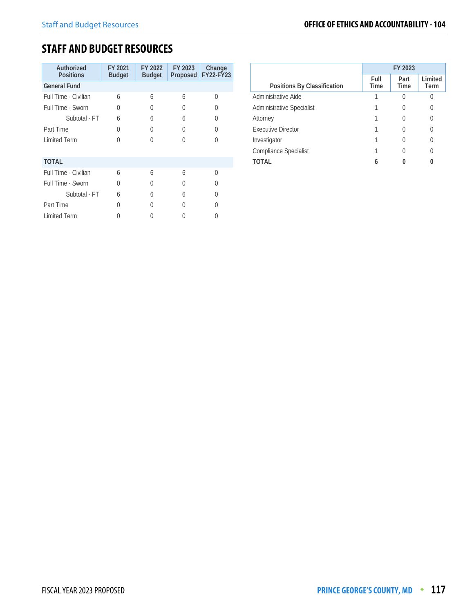## **STAFF AND BUDGET RESOURCES**

| Authorized<br><b>Positions</b> | FY 2021<br><b>Budget</b> | FY 2022<br><b>Budget</b> | FY 2023<br>Proposed | Change<br>FY22-FY23 |
|--------------------------------|--------------------------|--------------------------|---------------------|---------------------|
| <b>General Fund</b>            |                          |                          |                     |                     |
| Full Time - Civilian           | 6                        | 6                        | 6                   | Λ                   |
| Full Time - Sworn              | 0                        | U                        | 0                   |                     |
| Subtotal - FT                  | $\overline{6}$           | 6                        | 6                   |                     |
| Part Time                      | <sup>0</sup>             | U                        | U                   | U                   |
| <b>Limited Term</b>            | U                        | U                        | 0                   | U                   |
|                                |                          |                          |                     |                     |
| <b>TOTAL</b>                   |                          |                          |                     |                     |
| Full Time - Civilian           | $\overline{6}$           | 6                        | 6                   | U                   |
| Full Time - Sworn              | O                        | U                        | 0                   |                     |
| Subtotal - FT                  | $\overline{6}$           | 6                        | 6                   |                     |
| Part Time                      | 0                        | U                        | U                   |                     |
| <b>Limited Term</b>            |                          |                          |                     |                     |

|                                  | FY 2023      |                     |                 |  |
|----------------------------------|--------------|---------------------|-----------------|--|
| Positions By Classification      | Full<br>Time | Part<br><b>Time</b> | Limited<br>Term |  |
| Administrative Aide              |              |                     |                 |  |
| <b>Administrative Specialist</b> |              |                     | 0               |  |
| Attorney                         |              |                     | 0               |  |
| Executive Director               |              |                     |                 |  |
| Investigator                     |              |                     | 0               |  |
| <b>Compliance Specialist</b>     |              |                     |                 |  |
| TOTAL                            |              |                     |                 |  |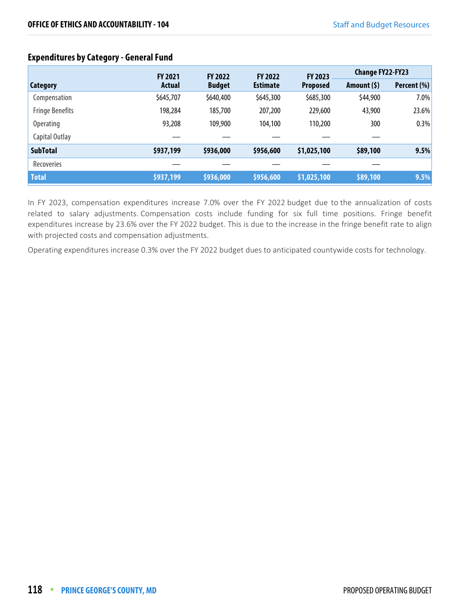## **Expenditures by Category - General Fund**

|                        | <b>FY 2021</b> | <b>FY 2022</b> | <b>FY 2022</b>  | <b>FY 2023</b>  | <b>Change FY22-FY23</b> |             |
|------------------------|----------------|----------------|-----------------|-----------------|-------------------------|-------------|
| <b>Category</b>        | Actual         | <b>Budget</b>  | <b>Estimate</b> | <b>Proposed</b> | Amount $(5)$            | Percent (%) |
| Compensation           | \$645,707      | \$640,400      | \$645,300       | \$685,300       | \$44,900                | 7.0%        |
| <b>Fringe Benefits</b> | 198,284        | 185,700        | 207,200         | 229,600         | 43,900                  | 23.6%       |
| <b>Operating</b>       | 93,208         | 109,900        | 104,100         | 110,200         | 300                     | 0.3%        |
| Capital Outlay         |                |                |                 |                 |                         |             |
| <b>SubTotal</b>        | \$937,199      | \$936,000      | \$956,600       | \$1,025,100     | \$89,100                | 9.5%        |
| Recoveries             |                |                |                 |                 |                         |             |
| <b>Total</b>           | \$937,199      | \$936,000      | \$956,600       | \$1,025,100     | \$89,100                | 9.5%        |

In FY 2023, compensation expenditures increase 7.0% over the FY 2022 budget due to the annualization of costs related to salary adjustments. Compensation costs include funding for six full time positions. Fringe benefit expenditures increase by 23.6% over the FY 2022 budget. This is due to the increase in the fringe benefit rate to align with projected costs and compensation adjustments.

Operating expenditures increase 0.3% over the FY 2022 budget dues to anticipated countywide costs for technology.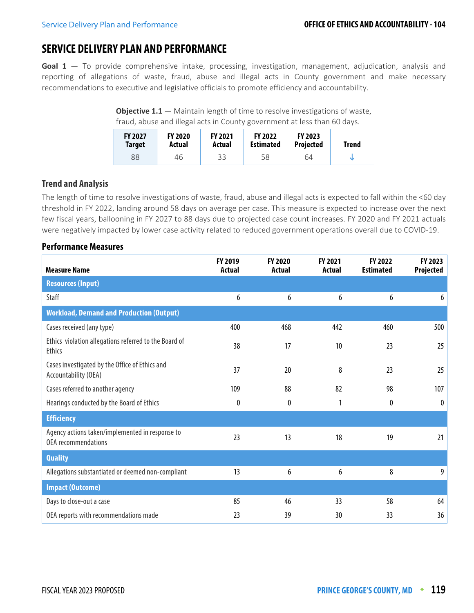## **SERVICE DELIVERY PLAN AND PERFORMANCE**

**Goal 1** — To provide comprehensive intake, processing, investigation, management, adjudication, analysis and reporting of allegations of waste, fraud, abuse and illegal acts in County government and make necessary recommendations to executive and legislative officials to promote efficiency and accountability.

**Objective 1.1** – Maintain length of time to resolve investigations of waste, fraud, abuse and illegal acts in County government at less than 60 days.

| <b>FY 2027</b><br><b>Target</b> | <b>FY 2020</b><br>Actual | <b>FY 2021</b><br>Actual | <b>FY 2022</b><br><b>Estimated</b> | <b>FY 2023</b><br><b>Projected</b> | Trend |
|---------------------------------|--------------------------|--------------------------|------------------------------------|------------------------------------|-------|
| 88                              | 46                       | 33                       | 58                                 | 64                                 |       |

## **Trend and Analysis**

The length of time to resolve investigations of waste, fraud, abuse and illegal acts is expected to fall within the <60 day threshold in FY 2022, landing around 58 days on average per case. This measure is expected to increase over the next few fiscal years, ballooning in FY 2027 to 88 days due to projected case count increases. FY 2020 and FY 2021 actuals were negatively impacted by lower case activity related to reduced government operations overall due to COVID-19.

| <b>Measure Name</b>                                                           | <b>FY 2019</b><br><b>Actual</b> | <b>FY 2020</b><br>Actual | <b>FY 2021</b><br>Actual | <b>FY 2022</b><br><b>Estimated</b> | FY 2023<br>Projected |
|-------------------------------------------------------------------------------|---------------------------------|--------------------------|--------------------------|------------------------------------|----------------------|
| <b>Resources (Input)</b>                                                      |                                 |                          |                          |                                    |                      |
| <b>Staff</b>                                                                  | 6                               | 6                        | 6                        | 6                                  | 6                    |
| <b>Workload, Demand and Production (Output)</b>                               |                                 |                          |                          |                                    |                      |
| Cases received (any type)                                                     | 400                             | 468                      | 442                      | 460                                | 500                  |
| Ethics violation allegations referred to the Board of<br><b>Ethics</b>        | 38                              | 17                       | 10                       | 23                                 | 25                   |
| Cases investigated by the Office of Ethics and<br>Accountability (OEA)        | 37                              | 20                       | 8                        | 23                                 | 25                   |
| Cases referred to another agency                                              | 109                             | 88                       | 82                       | 98                                 | 107                  |
| Hearings conducted by the Board of Ethics                                     | 0                               | 0                        | 1                        | 0                                  | $\boldsymbol{0}$     |
| <b>Efficiency</b>                                                             |                                 |                          |                          |                                    |                      |
| Agency actions taken/implemented in response to<br><b>OEA</b> recommendations | 23                              | 13                       | 18                       | 19                                 | 21                   |
| <b>Quality</b>                                                                |                                 |                          |                          |                                    |                      |
| Allegations substantiated or deemed non-compliant                             | 13                              | 6                        | 6                        | 8                                  | 9                    |
| <b>Impact (Outcome)</b>                                                       |                                 |                          |                          |                                    |                      |
| Days to close-out a case                                                      | 85                              | 46                       | 33                       | 58                                 | 64                   |
| OEA reports with recommendations made                                         | 23                              | 39                       | 30                       | 33                                 | 36                   |

#### **Performance Measures**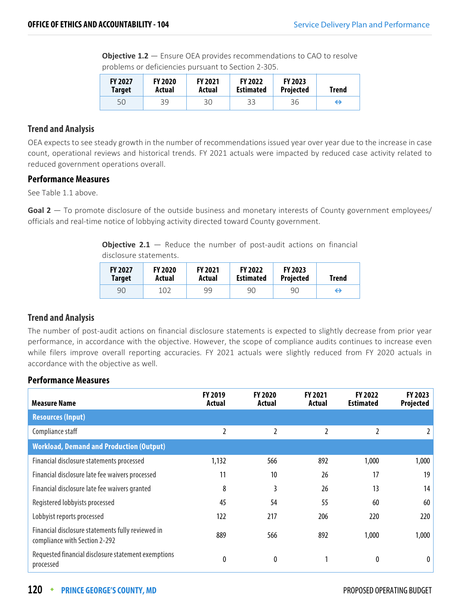**Objective 1.2** – Ensure OEA provides recommendations to CAO to resolve problems or deficiencies pursuant to Section 2-305.

| <b>FY 2027</b> | <b>FY 2020</b> | <b>FY 2021</b> | <b>FY 2022</b>   | <b>FY 2023</b>   | <b>Trend</b> |
|----------------|----------------|----------------|------------------|------------------|--------------|
| <b>Target</b>  | Actual         | Actual         | <b>Estimated</b> | <b>Projected</b> |              |
| 50             | 39             | 30             | 33               | 36               | ⊖            |

## **Trend and Analysis**

OEA expects to see steady growth in the number of recommendations issued year over year due to the increase in case count, operational reviews and historical trends. FY 2021 actuals were impacted by reduced case activity related to reduced government operations overall.

## **Performance Measures**

See Table 1.1 above.

Goal 2 — To promote disclosure of the outside business and monetary interests of County government employees/ officials and real-time notice of lobbying activity directed toward County government.

**Objective 2.1** – Reduce the number of post-audit actions on financial disclosure statements.

| <b>FY 2027</b> | <b>FY 2020</b> | <b>FY 2021</b> | <b>FY 2022</b>   | <b>FY 2023</b>   | <b>Trend</b> |
|----------------|----------------|----------------|------------------|------------------|--------------|
| <b>Target</b>  | Actual         | Actual         | <b>Estimated</b> | <b>Projected</b> |              |
| 90             | 102            | 99             | 90               | 90               | ↔            |

## **Trend and Analysis**

The number of post-audit actions on financial disclosure statements is expected to slightly decrease from prior year performance, in accordance with the objective. However, the scope of compliance audits continues to increase even while filers improve overall reporting accuracies. FY 2021 actuals were slightly reduced from FY 2020 actuals in accordance with the objective as well.

## **Performance Measures**

| <b>Measure Name</b>                                                                | FY 2019<br>Actual | <b>FY 2020</b><br>Actual | <b>FY 2021</b><br>Actual | <b>FY 2022</b><br><b>Estimated</b> | <b>FY 2023</b><br>Projected |
|------------------------------------------------------------------------------------|-------------------|--------------------------|--------------------------|------------------------------------|-----------------------------|
| <b>Resources (Input)</b>                                                           |                   |                          |                          |                                    |                             |
| Compliance staff                                                                   | 2                 | 2                        | 2                        | 2                                  | $\mathbf{2}$                |
| <b>Workload, Demand and Production (Output)</b>                                    |                   |                          |                          |                                    |                             |
| Financial disclosure statements processed                                          | 1,132             | 566                      | 892                      | 1,000                              | 1,000                       |
| Financial disclosure late fee waivers processed                                    | 11                | 10 <sup>°</sup>          | 26                       | 17                                 | 19                          |
| Financial disclosure late fee waivers granted                                      | 8                 | 3                        | 26                       | 13                                 | 14                          |
| Registered lobbyists processed                                                     | 45                | 54                       | 55                       | 60                                 | 60                          |
| Lobbyist reports processed                                                         | 122               | 217                      | 206                      | 220                                | 220                         |
| Financial disclosure statements fully reviewed in<br>compliance with Section 2-292 | 889               | 566                      | 892                      | 1,000                              | 1,000                       |
| Requested financial disclosure statement exemptions<br>processed                   | 0                 | 0                        |                          | 0                                  | 0                           |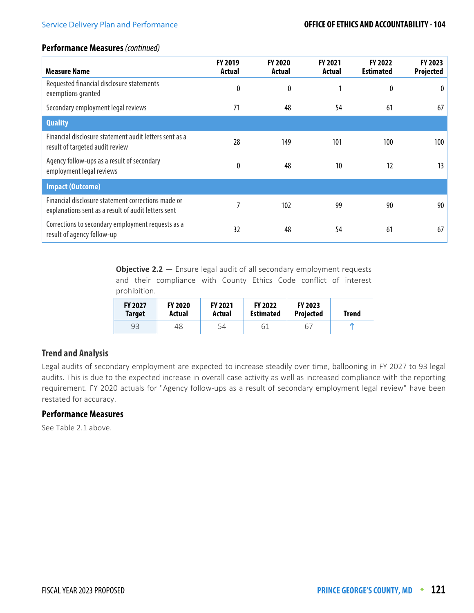## **Performance Measures** (continued)

| <b>Measure Name</b>                                                                                       | <b>FY 2019</b><br>Actual | <b>FY 2020</b><br>Actual | <b>FY 2021</b><br>Actual | <b>FY 2022</b><br><b>Estimated</b> | <b>FY 2023</b><br><b>Projected</b> |
|-----------------------------------------------------------------------------------------------------------|--------------------------|--------------------------|--------------------------|------------------------------------|------------------------------------|
| Requested financial disclosure statements<br>exemptions granted                                           | 0                        | 0                        |                          | 0                                  | $\theta$                           |
| Secondary employment legal reviews                                                                        | 71                       | 48                       | 54                       | 61                                 | 67                                 |
| <b>Quality</b>                                                                                            |                          |                          |                          |                                    |                                    |
| Financial disclosure statement audit letters sent as a<br>result of targeted audit review                 | 28                       | 149                      | 101                      | 100                                | 100                                |
| Agency follow-ups as a result of secondary<br>employment legal reviews                                    | 0                        | 48                       | 10                       | 12                                 | 13                                 |
| <b>Impact (Outcome)</b>                                                                                   |                          |                          |                          |                                    |                                    |
| Financial disclosure statement corrections made or<br>explanations sent as a result of audit letters sent |                          | 102                      | 99                       | 90                                 | 90                                 |
| Corrections to secondary employment requests as a<br>result of agency follow-up                           | 32                       | 48                       | 54                       | 61                                 | 67                                 |

**Objective 2.2** – Ensure legal audit of all secondary employment requests and their compliance with County Ethics Code conflict of interest prohibition.

| <b>FY 2027</b> | <b>FY 2020</b> | <b>FY 2021</b> | <b>FY 2022</b>   | <b>FY 2023</b>   | Trend |
|----------------|----------------|----------------|------------------|------------------|-------|
| <b>Target</b>  | Actual         | Actual         | <b>Estimated</b> | <b>Projected</b> |       |
| 93             | 48             | 54             | 61               | 67               |       |

## **Trend and Analysis**

Legal audits of secondary employment are expected to increase steadily over time, ballooning in FY 2027 to 93 legal audits. This is due to the expected increase in overall case activity as well as increased compliance with the reporting requirement. FY 2020 actuals for "Agency follow-ups as a result of secondary employment legal review" have been restated for accuracy.

## **Performance Measures**

See Table 2.1 above.